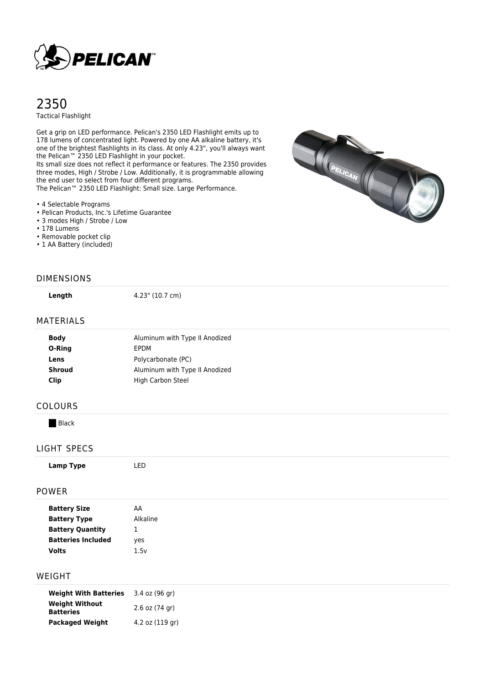

# 2350 Tactical Flashlight

Get a grip on LED performance. Pelican's 2350 LED Flashlight emits up to 178 lumens of concentrated light. Powered by one AA alkaline battery, it's one of the brightest flashlights in its class. At only 4.23", you'll always want the Pelican™ 2350 LED Flashlight in your pocket.

Its small size does not reflect it performance or features. The 2350 provides three modes, High / Strobe / Low. Additionally, it is programmable allowing the end user to select from four different programs. The Pelican™ 2350 LED Flashlight: Small size. Large Performance.

- 4 Selectable Programs
- Pelican Products, Inc.'s Lifetime Guarantee
- 3 modes High / Strobe / Low
- 178 Lumens
- Removable pocket clip
- 1 AA Battery (included)



#### DIMENSIONS

**Length** 4.23" (10.7 cm)

#### MATERIALS

| <b>Body</b> | Aluminum with Type II Anodized |
|-------------|--------------------------------|
| O-Ring      | EPDM                           |
| Lens        | Polycarbonate (PC)             |
| Shroud      | Aluminum with Type II Anodized |
| Clip        | High Carbon Steel              |
|             |                                |

### COLOURS

**Black** 

### LIGHT SPECS

#### POWER

| <b>Battery Size</b>       | AA       |  |
|---------------------------|----------|--|
| <b>Battery Type</b>       | Alkaline |  |
| <b>Battery Quantity</b>   | ∸        |  |
| <b>Batteries Included</b> | yes      |  |
| <b>Volts</b>              | 1.5v     |  |
|                           |          |  |

#### WEIGHT

| <b>Weight With Batteries</b>              | 3.4 oz (96 gr)     |
|-------------------------------------------|--------------------|
| <b>Weight Without</b><br><b>Batteries</b> | $2.6$ oz $(74$ gr) |
| <b>Packaged Weight</b>                    | 4.2 oz (119 gr)    |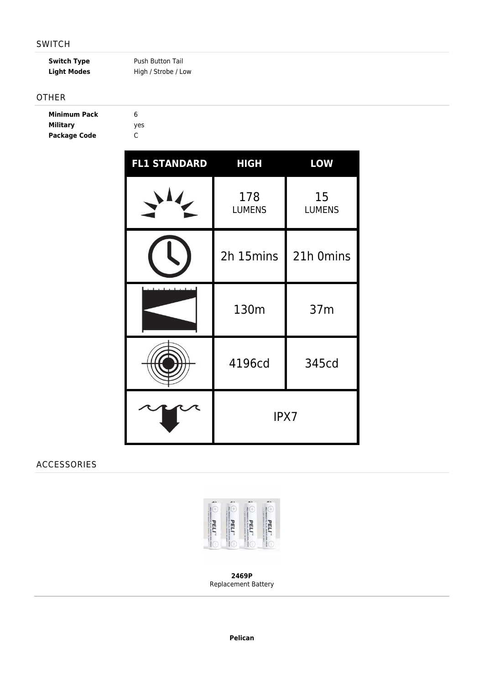### SWITCH

Light Modes **High / Strobe / Low** 

**Switch Type** Push Button Tail

**Military** yes

# OTHER

| <b>Minimum Pack</b> | 6 |
|---------------------|---|
| <b>Military</b>     | ۷ |
| <b>Package Code</b> | C |

| <b>FL1 STANDARD</b> | <b>HIGH</b>          | <b>LOW</b>          |
|---------------------|----------------------|---------------------|
|                     | 178<br><b>LUMENS</b> | 15<br><b>LUMENS</b> |
|                     | 2h 15mins            | 21h 0mins           |
|                     | 130m                 | 37m                 |
|                     | 4196cd               | 345cd               |
|                     | IPX7                 |                     |

# ACCESSORIES



**2469P** Replacement Battery